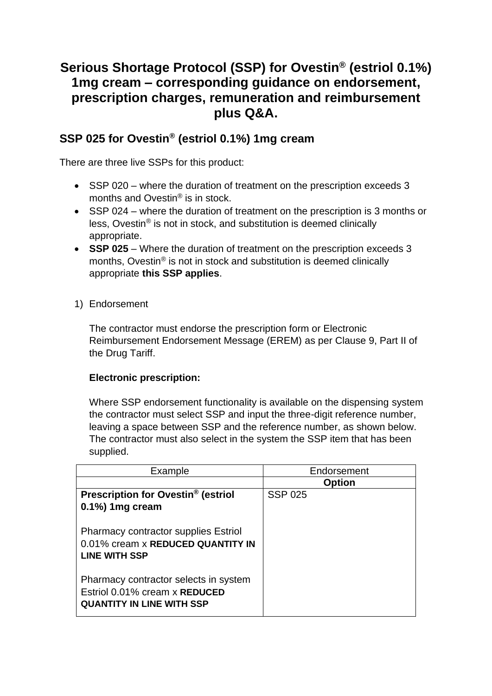# **Serious Shortage Protocol (SSP) for Ovestin® (estriol 0.1%) 1mg cream – corresponding guidance on endorsement, prescription charges, remuneration and reimbursement plus Q&A.**

# **SSP 025 for Ovestin® (estriol 0.1%) 1mg cream**

There are three live SSPs for this product:

- SSP 020 where the duration of treatment on the prescription exceeds 3 months and Ovestin® is in stock.
- SSP 024 where the duration of treatment on the prescription is 3 months or less, Ovestin® is not in stock, and substitution is deemed clinically appropriate.
- **SSP 025** Where the duration of treatment on the prescription exceeds 3 months, Ovestin® is not in stock and substitution is deemed clinically appropriate **this SSP applies**.
- 1) Endorsement

The contractor must endorse the prescription form or Electronic Reimbursement Endorsement Message (EREM) as per Clause 9, Part II of the Drug Tariff.

## **Electronic prescription:**

Where SSP endorsement functionality is available on the dispensing system the contractor must select SSP and input the three-digit reference number, leaving a space between SSP and the reference number, as shown below. The contractor must also select in the system the SSP item that has been supplied.

| Example                                                                                                    | Endorsement    |
|------------------------------------------------------------------------------------------------------------|----------------|
|                                                                                                            | <b>Option</b>  |
| Prescription for Ovestin <sup>®</sup> (estriol                                                             | <b>SSP 025</b> |
| 0.1%) 1mg cream                                                                                            |                |
| <b>Pharmacy contractor supplies Estriol</b><br>0.01% cream x REDUCED QUANTITY IN<br>LINE WITH SSP          |                |
| Pharmacy contractor selects in system<br>Estriol 0.01% cream x REDUCED<br><b>QUANTITY IN LINE WITH SSP</b> |                |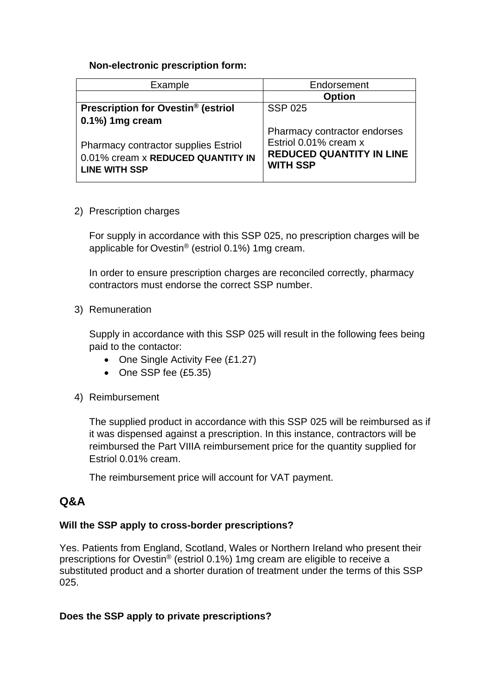#### **Non-electronic prescription form:**

| Example                                                                                                  | Endorsement                                                                                                 |
|----------------------------------------------------------------------------------------------------------|-------------------------------------------------------------------------------------------------------------|
|                                                                                                          | <b>Option</b>                                                                                               |
| Prescription for Ovestin <sup>®</sup> (estriol                                                           | <b>SSP 025</b>                                                                                              |
| $0.1\%$ ) 1mg cream                                                                                      |                                                                                                             |
| <b>Pharmacy contractor supplies Estriol</b><br>0.01% cream x REDUCED QUANTITY IN<br><b>LINE WITH SSP</b> | Pharmacy contractor endorses<br>Estriol 0.01% cream x<br><b>REDUCED QUANTITY IN LINE</b><br><b>WITH SSP</b> |

2) Prescription charges

For supply in accordance with this SSP 025, no prescription charges will be applicable for Ovestin® (estriol 0.1%) 1mg cream.

In order to ensure prescription charges are reconciled correctly, pharmacy contractors must endorse the correct SSP number.

3) Remuneration

Supply in accordance with this SSP 025 will result in the following fees being paid to the contactor:

- One Single Activity Fee (£1.27)
- One SSP fee (£5.35)
- 4) Reimbursement

The supplied product in accordance with this SSP 025 will be reimbursed as if it was dispensed against a prescription. In this instance, contractors will be reimbursed the Part VIIIA reimbursement price for the quantity supplied for Estriol 0.01% cream.

The reimbursement price will account for VAT payment.

# **Q&A**

#### **Will the SSP apply to cross-border prescriptions?**

Yes. Patients from England, Scotland, Wales or Northern Ireland who present their prescriptions for Ovestin® (estriol 0.1%) 1mg cream are eligible to receive a substituted product and a shorter duration of treatment under the terms of this SSP 025.

## **Does the SSP apply to private prescriptions?**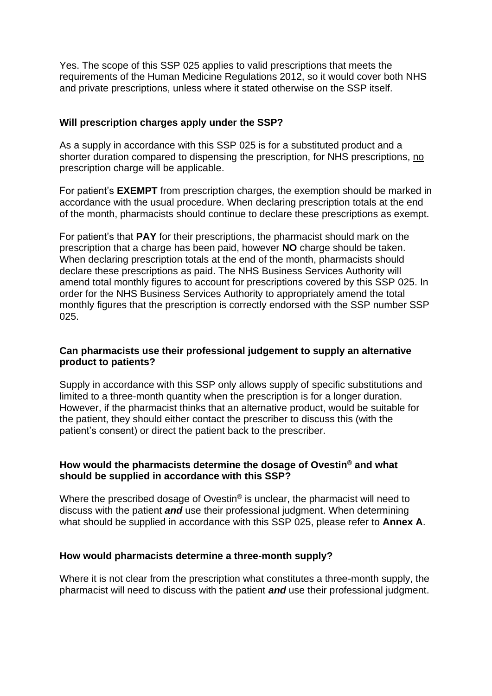Yes. The scope of this SSP 025 applies to valid prescriptions that meets the requirements of the Human Medicine Regulations 2012, so it would cover both NHS and private prescriptions, unless where it stated otherwise on the SSP itself.

#### **Will prescription charges apply under the SSP?**

As a supply in accordance with this SSP 025 is for a substituted product and a shorter duration compared to dispensing the prescription, for NHS prescriptions, no prescription charge will be applicable.

For patient's **EXEMPT** from prescription charges, the exemption should be marked in accordance with the usual procedure. When declaring prescription totals at the end of the month, pharmacists should continue to declare these prescriptions as exempt.

For patient's that **PAY** for their prescriptions, the pharmacist should mark on the prescription that a charge has been paid, however **NO** charge should be taken. When declaring prescription totals at the end of the month, pharmacists should declare these prescriptions as paid. The NHS Business Services Authority will amend total monthly figures to account for prescriptions covered by this SSP 025. In order for the NHS Business Services Authority to appropriately amend the total monthly figures that the prescription is correctly endorsed with the SSP number SSP 025.

#### **Can pharmacists use their professional judgement to supply an alternative product to patients?**

Supply in accordance with this SSP only allows supply of specific substitutions and limited to a three-month quantity when the prescription is for a longer duration. However, if the pharmacist thinks that an alternative product, would be suitable for the patient, they should either contact the prescriber to discuss this (with the patient's consent) or direct the patient back to the prescriber.

#### **How would the pharmacists determine the dosage of Ovestin® and what should be supplied in accordance with this SSP?**

Where the prescribed dosage of Ovestin® is unclear, the pharmacist will need to discuss with the patient *and* use their professional judgment. When determining what should be supplied in accordance with this SSP 025, please refer to **Annex A**.

#### **How would pharmacists determine a three-month supply?**

Where it is not clear from the prescription what constitutes a three-month supply, the pharmacist will need to discuss with the patient *and* use their professional judgment.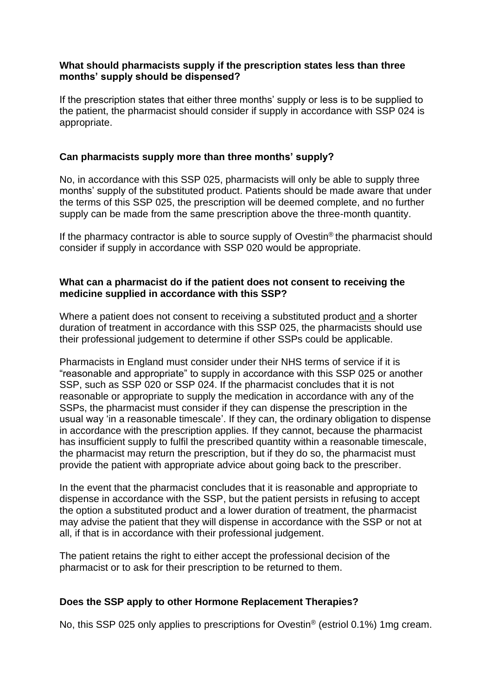#### **What should pharmacists supply if the prescription states less than three months' supply should be dispensed?**

If the prescription states that either three months' supply or less is to be supplied to the patient, the pharmacist should consider if supply in accordance with SSP 024 is appropriate.

#### **Can pharmacists supply more than three months' supply?**

No, in accordance with this SSP 025, pharmacists will only be able to supply three months' supply of the substituted product. Patients should be made aware that under the terms of this SSP 025, the prescription will be deemed complete, and no further supply can be made from the same prescription above the three-month quantity.

If the pharmacy contractor is able to source supply of Ovestin<sup>®</sup> the pharmacist should consider if supply in accordance with SSP 020 would be appropriate.

#### **What can a pharmacist do if the patient does not consent to receiving the medicine supplied in accordance with this SSP?**

Where a patient does not consent to receiving a substituted product and a shorter duration of treatment in accordance with this SSP 025, the pharmacists should use their professional judgement to determine if other SSPs could be applicable.

Pharmacists in England must consider under their NHS terms of service if it is "reasonable and appropriate" to supply in accordance with this SSP 025 or another SSP, such as SSP 020 or SSP 024. If the pharmacist concludes that it is not reasonable or appropriate to supply the medication in accordance with any of the SSPs, the pharmacist must consider if they can dispense the prescription in the usual way 'in a reasonable timescale'. If they can, the ordinary obligation to dispense in accordance with the prescription applies. If they cannot, because the pharmacist has insufficient supply to fulfil the prescribed quantity within a reasonable timescale, the pharmacist may return the prescription, but if they do so, the pharmacist must provide the patient with appropriate advice about going back to the prescriber.

In the event that the pharmacist concludes that it is reasonable and appropriate to dispense in accordance with the SSP, but the patient persists in refusing to accept the option a substituted product and a lower duration of treatment, the pharmacist may advise the patient that they will dispense in accordance with the SSP or not at all, if that is in accordance with their professional judgement.

The patient retains the right to either accept the professional decision of the pharmacist or to ask for their prescription to be returned to them.

## **Does the SSP apply to other Hormone Replacement Therapies?**

No, this SSP 025 only applies to prescriptions for Ovestin® (estriol 0.1%) 1mg cream.